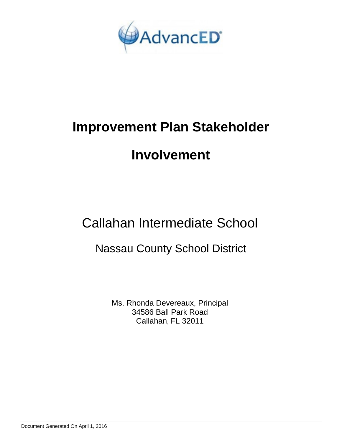

# **Improvement Plan Stakeholder**

# **Involvement**

Callahan Intermediate School

Nassau County School District

Ms. Rhonda Devereaux, Principal 34586 Ball Park Road Callahan, FL 32011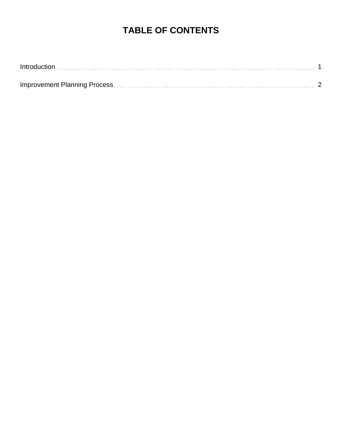## **TABLE OF CONTENTS**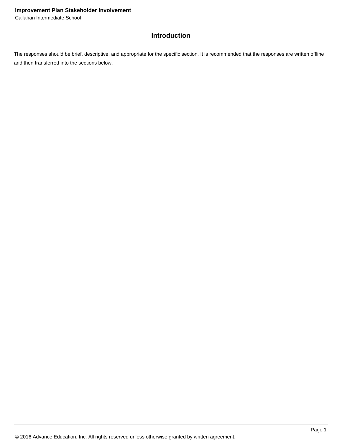### **Introduction**

The responses should be brief, descriptive, and appropriate for the specific section. It is recommended that the responses are written offline and then transferred into the sections below.